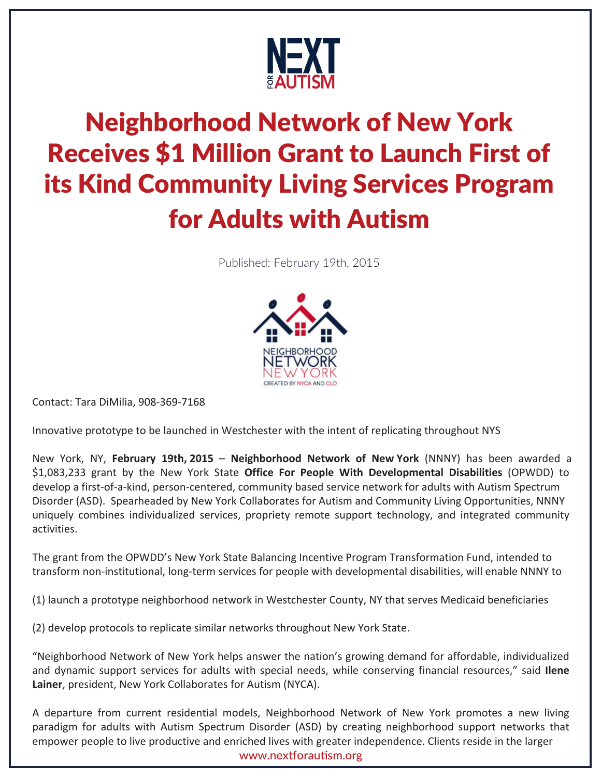

## Neighborhood Network of New York Receives \$1 Million Grant to Launch First of its Kind Community Living Services Program for Adults with Autism

Published: February 19th, 2015



Contact: Tara DiMilia, 908-369-7168

Innovative prototype to be launched in Westchester with the intent of replicating throughout NYS

New York, NY, **February 19th, 2015** – **Neighborhood Network of New York** (NNNY) has been awarded a \$1,083,233 grant by the New York State **Office For People With Developmental Disabilities** (OPWDD) to develop a first-of-a-kind, person-centered, community based service network for adults with Autism Spectrum Disorder (ASD). Spearheaded by New York Collaborates for Autism and Community Living Opportunities, NNNY uniquely combines individualized services, propriety remote support technology, and integrated community activities.

The grant from the OPWDD's New York State Balancing Incentive Program Transformation Fund, intended to transform non-institutional, long-term services for people with developmental disabilities, will enable NNNY to

(1) launch a prototype neighborhood network in Westchester County, NY that serves Medicaid beneficiaries

(2) develop protocols to replicate similar networks throughout New York State.

"Neighborhood Network of New York helps answer the nation's growing demand for affordable, individualized and dynamic support services for adults with special needs, while conserving financial resources," said **Ilene Lainer**, president, New York Collaborates for Autism (NYCA).

A departure from current residential models, Neighborhood Network of New York promotes a new living paradigm for adults with Autism Spectrum Disorder (ASD) by creating neighborhood support networks that empower people to live productive and enriched lives with greater independence. Clients reside in the larger www.nextforautism.org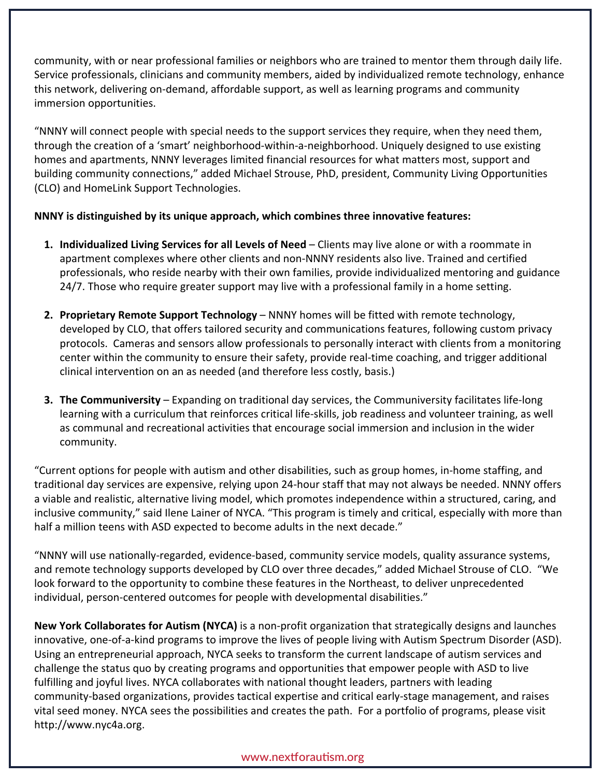community, with or near professional families or neighbors who are trained to mentor them through daily life. Service professionals, clinicians and community members, aided by individualized remote technology, enhance this network, delivering on-demand, affordable support, as well as learning programs and community immersion opportunities.

"NNNY will connect people with special needs to the support services they require, when they need them, through the creation of a 'smart' neighborhood-within-a-neighborhood. Uniquely designed to use existing homes and apartments, NNNY leverages limited financial resources for what matters most, support and building community connections," added Michael Strouse, PhD, president, Community Living Opportunities (CLO) and HomeLink Support Technologies.

## **NNNY is distinguished by its unique approach, which combines three innovative features:**

- **1. Individualized Living Services for all Levels of Need**  Clients may live alone or with a roommate in apartment complexes where other clients and non-NNNY residents also live. Trained and certified professionals, who reside nearby with their own families, provide individualized mentoring and guidance 24/7. Those who require greater support may live with a professional family in a home setting.
- **2. Proprietary Remote Support Technology** NNNY homes will be fitted with remote technology, developed by CLO, that offers tailored security and communications features, following custom privacy protocols. Cameras and sensors allow professionals to personally interact with clients from a monitoring center within the community to ensure their safety, provide real-time coaching, and trigger additional clinical intervention on an as needed (and therefore less costly, basis.)
- **3. The Communiversity**  Expanding on traditional day services, the Communiversity facilitates life-long learning with a curriculum that reinforces critical life-skills, job readiness and volunteer training, as well as communal and recreational activities that encourage social immersion and inclusion in the wider community.

"Current options for people with autism and other disabilities, such as group homes, in-home staffing, and traditional day services are expensive, relying upon 24-hour staff that may not always be needed. NNNY offers a viable and realistic, alternative living model, which promotes independence within a structured, caring, and inclusive community," said Ilene Lainer of NYCA. "This program is timely and critical, especially with more than half a million teens with ASD expected to become adults in the next decade."

"NNNY will use nationally-regarded, evidence-based, community service models, quality assurance systems, and remote technology supports developed by CLO over three decades," added Michael Strouse of CLO. "We look forward to the opportunity to combine these features in the Northeast, to deliver unprecedented individual, person-centered outcomes for people with developmental disabilities."

**New York Collaborates for Autism (NYCA)** is a non-profit organization that strategically designs and launches innovative, one-of-a-kind programs to improve the lives of people living with Autism Spectrum Disorder (ASD). Using an entrepreneurial approach, NYCA seeks to transform the current landscape of autism services and challenge the status quo by creating programs and opportunities that empower people with ASD to live fulfilling and joyful lives. NYCA collaborates with national thought leaders, partners with leading community-based organizations, provides tactical expertise and critical early-stage management, and raises vital seed money. NYCA sees the possibilities and creates the path. For a portfolio of programs, please visit http://www.nyc4a.org.

## www.nextforautism.org